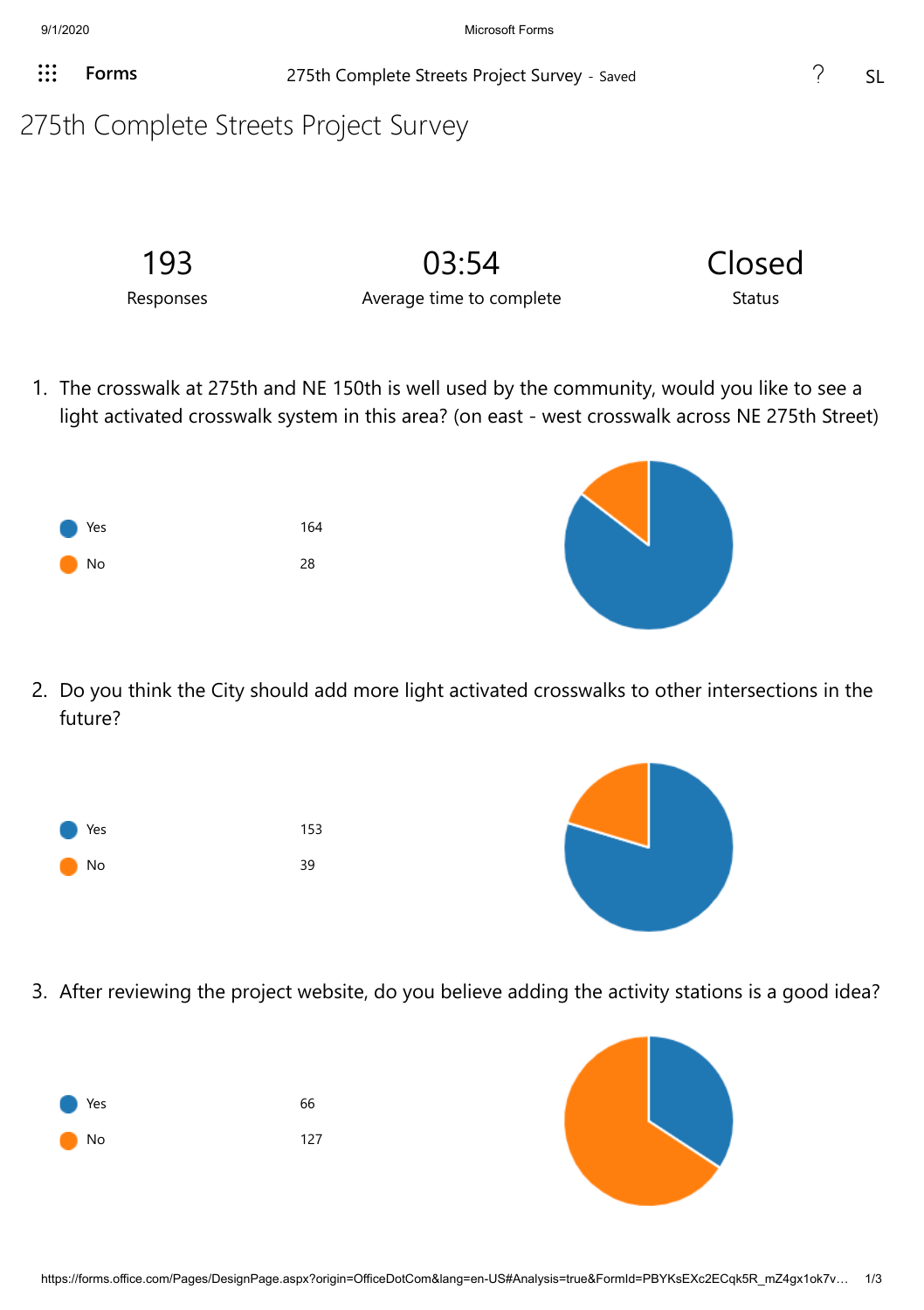**Forms** 275th Complete Streets Project Survey - Saved 3 215th Complete Streets Project Survey - Saved

## 275th Complete Streets Project Survey

| 193       | 03:54                    | Closed |
|-----------|--------------------------|--------|
| Responses | Average time to complete | Status |

1. The crosswalk at 275th and NE 150th is well used by the community, would you like to see a light activated crosswalk system in this area? (on east - west crosswalk across NE 275th Street)



2. Do you think the City should add more light activated crosswalks to other intersections in the future?

| <b>Nes</b> | 153 |
|------------|-----|
| No         | 39  |



3. After reviewing the project website, do you believe adding the activity stations is a good idea?

| <b>Nes</b> | 66  |
|------------|-----|
| <b>No</b>  | 127 |

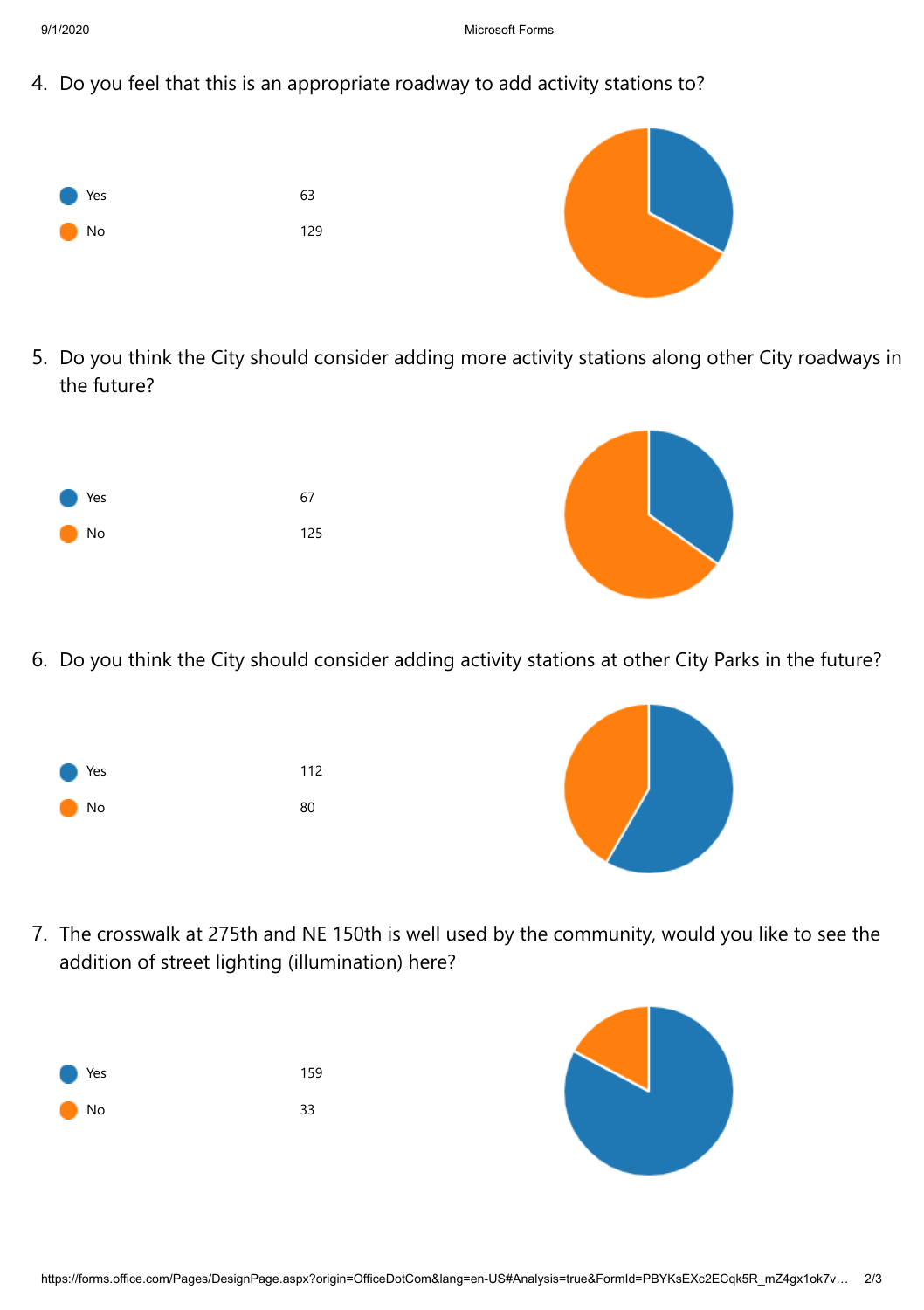4. Do you feel that this is an appropriate roadway to add activity stations to?



5. Do you think the City should consider adding more activity stations along other City roadways in the future?



6. Do you think the City should consider adding activity stations at other City Parks in the future?

| <b>Nes</b> | 112 |
|------------|-----|
| <b>No</b>  | 80  |



7. The crosswalk at 275th and NE 150th is well used by the community, would you like to see the addition of street lighting (illumination) here?

| <b>Nes</b> | 159 |
|------------|-----|
| No         | 33  |